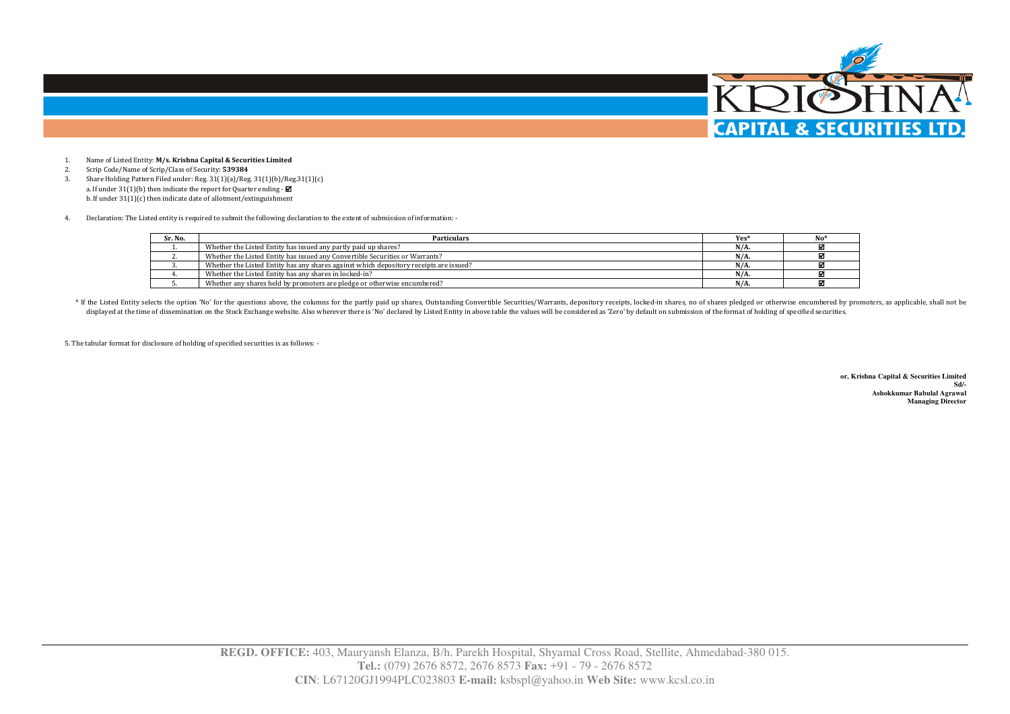

- 1.Name of Listed Entity: **M/s. Krishna Capital & Securities Limited**
- 2.Scrip Code/Name of Scrip/Class of Security: **539384**
- Share Holding Pattern Filed under: Reg. 31(1)(a)/Reg. 31(1)(b)/Reg.31(1)(c) 3.a. If under  $31(1)(b)$  then indicate the report for Quarter ending -  $\blacksquare$ b. If under 31(1)(c) then indicate date of allotment/extinguishment
- 4.Declaration: The Listed entity is required to submit the following declaration to the extent of submission of information: -

| Sr. No. | Particulars                                                                            | Yes <sup>*</sup> |  |
|---------|----------------------------------------------------------------------------------------|------------------|--|
|         | Whether the Listed Entity has issued any partly paid up shares?                        | $N/A$ .          |  |
|         | Whether the Listed Entity has issued any Convertible Securities or Warrants?           | $N/A$ .          |  |
|         | Whether the Listed Entity has any shares against which depository receipts are issued? | $N/A$ .          |  |
|         | Whether the Listed Entity has any shares in locked-in?                                 | $N/A$ .          |  |
|         | Whether any shares held by promoters are pledge or otherwise encumbered?               | $N/A$ .          |  |

\* If the Listed Entity selects the option 'No' for the questions above, the columns for the partly paid up shares, Outstanding Convertible Securities/Warrants, depository receipts, locked-in shares, no of shares pledged or displayed at the time of dissemination on the Stock Exchange website. Also wherever there is 'No' declared by Listed Entity in above table the values will be considered as 'Zero' by default on submission of the format of h

5. The tabular format for disclosure of holding of specified securities is as follows: -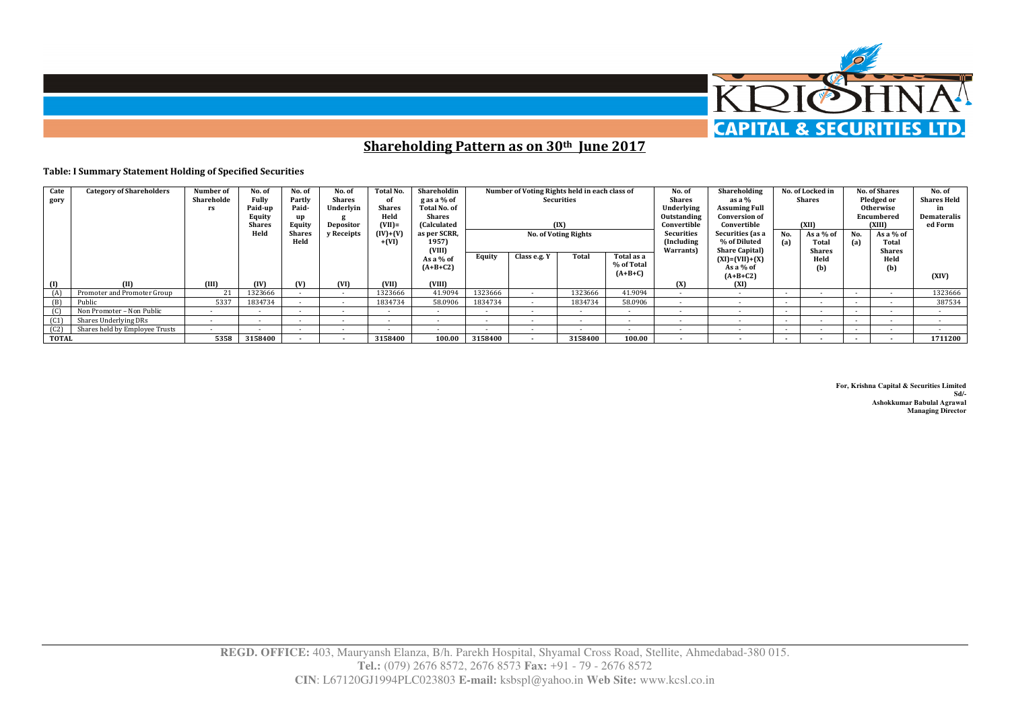

**Shareholding Pattern as on 30th June 2017** 

## **Table: I Summary Statement Holding of Specified Securities**

| Cate<br>gory | <b>Category of Shareholders</b> | Number of<br>Shareholde<br>rs | No. of<br><b>Fully</b><br>Paid-up<br>Equity<br><b>Shares</b><br>Held | No. of<br>Partly<br>Paid-<br>Equity<br><b>Shares</b><br>Held | No. of<br><b>Shares</b><br>Underlyin<br>Depositor<br>v Receipts | Total No.<br>of<br><b>Shares</b><br>Held<br>$(VII)$ =<br>(IV)+(V)<br>$+ (VI)$ | Shareholdin<br>g as a % of<br><b>Total No. of</b><br>Shares<br>(Calculated<br>as per SCRR,<br>1957)<br>(VIII) |                | Number of Voting Rights held in each class of | Securities<br>(IX)<br><b>No. of Voting Rights</b> |                                       | No. of<br><b>Shares</b><br>Underlying<br>Outstanding<br>Convertible<br><b>Securities</b><br>(Including<br>Warrants) | Shareholding<br>as a %<br><b>Assuming Full</b><br><b>Conversion of</b><br>Convertible<br>Securities (as a<br>% of Diluted<br><b>Share Capital</b> ) | No.<br>(a) | No. of Locked in<br>Shares<br>(XII)<br>As a % of<br>Total<br><b>Shares</b> | No.<br>(a)               | <b>No. of Shares</b><br>Pledged or<br><b>Otherwise</b><br>Encumbered<br>(XIII)<br>As a % of<br>Total<br><b>Shares</b> | No. of<br><b>Shares Held</b><br>in<br>Demateralis<br>ed Form |
|--------------|---------------------------------|-------------------------------|----------------------------------------------------------------------|--------------------------------------------------------------|-----------------------------------------------------------------|-------------------------------------------------------------------------------|---------------------------------------------------------------------------------------------------------------|----------------|-----------------------------------------------|---------------------------------------------------|---------------------------------------|---------------------------------------------------------------------------------------------------------------------|-----------------------------------------------------------------------------------------------------------------------------------------------------|------------|----------------------------------------------------------------------------|--------------------------|-----------------------------------------------------------------------------------------------------------------------|--------------------------------------------------------------|
| (1)          | m                               | (III)                         | (IV)                                                                 | (V)                                                          | (VI)                                                            | (VII)                                                                         | As a % of<br>$(A+B+C2)$<br>(VIII)                                                                             | Equity         | Class e.g. Y                                  | Total                                             | Total as a<br>% of Total<br>$(A+B+C)$ | (X)                                                                                                                 | $(XI) = (VII) + (X)$<br>As a % of<br>$(A+B+C2)$<br>(XI)                                                                                             |            | Held<br>(b)                                                                |                          | Held<br>(b)                                                                                                           | (XIV)                                                        |
|              | Promoter and Promoter Group     |                               | 1323666                                                              |                                                              | $\sim$                                                          | 1323666                                                                       | 41.9094                                                                                                       | 1323666        |                                               | 1323666                                           | 41.9094                               |                                                                                                                     | $\sim$                                                                                                                                              | . .        | $\sim$                                                                     | $\sim$                   |                                                                                                                       | 1323666                                                      |
|              | Public                          | 5337                          | 1834734                                                              |                                                              | $\sim$                                                          | 1834734                                                                       | 58.0906                                                                                                       | 1834734        |                                               | 1834734                                           | 58.0906                               | $\sim$                                                                                                              | $\sim$                                                                                                                                              | $\sim$     | $\sim$                                                                     |                          |                                                                                                                       | 387534                                                       |
| (C)          | Non Promoter - Non Public       |                               | . .                                                                  | . .                                                          | $\sim$                                                          | . .                                                                           | $\sim$                                                                                                        | $\sim$         | $\sim$                                        | $\sim$                                            | $\sim$                                | . .                                                                                                                 | $\sim$                                                                                                                                              | . .        | $\sim$                                                                     |                          |                                                                                                                       |                                                              |
| (C1)         | Shares Underlying DRs           |                               | $\sim$                                                               |                                                              |                                                                 | $\sim$                                                                        |                                                                                                               | $\overline{a}$ |                                               | $\overline{\phantom{a}}$                          |                                       |                                                                                                                     |                                                                                                                                                     |            | $\sim$                                                                     |                          |                                                                                                                       |                                                              |
| (C2)         | Shares held by Employee Trusts  |                               | $\sim$                                                               |                                                              |                                                                 | $\overline{a}$                                                                |                                                                                                               |                |                                               | $\overline{\phantom{a}}$                          |                                       |                                                                                                                     |                                                                                                                                                     | $\sim$     |                                                                            | $\sim$                   |                                                                                                                       |                                                              |
| <b>TOTAL</b> |                                 | 5358                          | 3158400                                                              |                                                              |                                                                 | 3158400                                                                       | 100.00                                                                                                        | 3158400        |                                               | 3158400                                           | 100.00                                |                                                                                                                     |                                                                                                                                                     | . .        |                                                                            | $\overline{\phantom{a}}$ |                                                                                                                       | 1711200                                                      |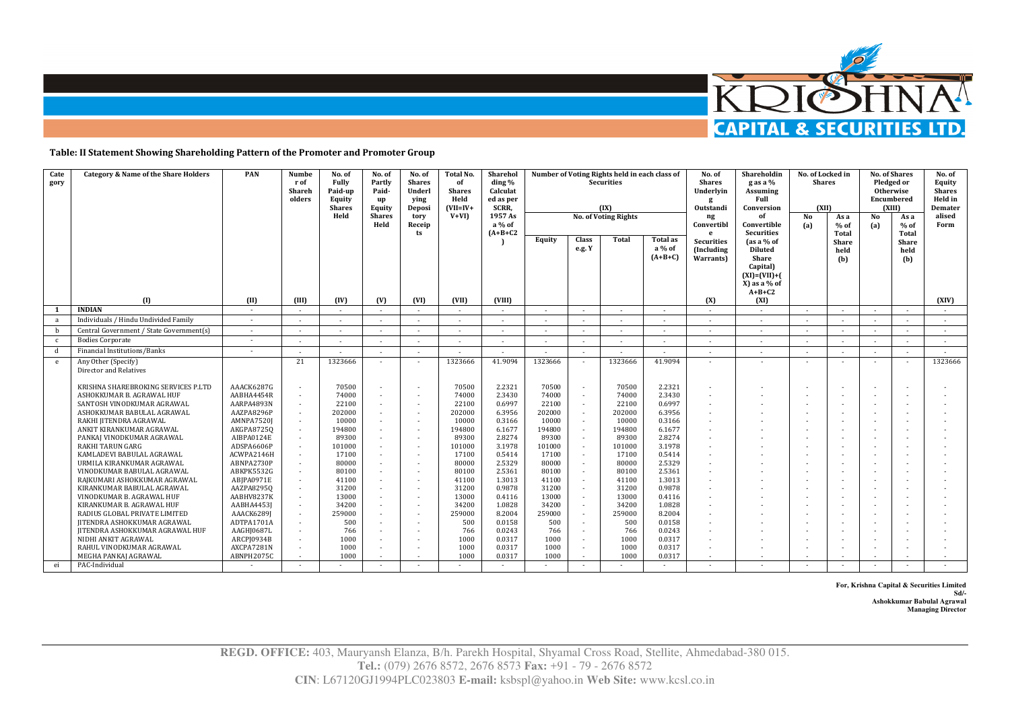

**Table: II Statement Showing Shareholding Pattern of the Promoter and Promoter Group** 

| Cate<br>gory | <b>Category &amp; Name of the Share Holders</b>               | <b>PAN</b>               | Numbe<br>r of<br>Shareh<br>olders | No. of<br>Fully<br>Paid-up<br>Equity<br><b>Shares</b><br>Held | No. of<br>Partly<br>Paid-<br>up<br>Equity<br><b>Shares</b><br>Held | No. of<br><b>Shares</b><br>Underl<br>ying<br>Deposi<br>tory<br>Receip<br>ts | Total No.<br>of<br><b>Shares</b><br>Held<br>$(VII=IV+$<br>$V+VI$ | Sharehol<br>ding %<br>Calculat<br>ed as per<br>SCRR,<br>1957 As<br>a % of<br>$(A+B+C2$ | Number of Voting Rights held in each class of<br><b>Securities</b><br>(IX)<br><b>No. of Voting Rights</b><br>Total<br>Equity<br><b>Class</b><br>Total as<br>e.g. Y<br>a % of<br>$(A+B+C)$ |                          |                 |                  | No. of<br><b>Shares</b><br>Underlvin<br>Outstandi<br>$\mathbf{n}$ g<br>Convertibl<br>e<br><b>Securities</b><br>(Including)<br><b>Warrants</b> | Shareholdin<br>g as a %<br>Assuming<br>Full<br>Conversion<br>of<br>Convertible<br><b>Securities</b><br>$\int$ as a % of<br>Diluted<br>Share | No. of Locked in<br><b>Shares</b><br>(XII)<br>No<br>(a) | As a<br>$%$ of<br>Total<br><b>Share</b><br>held | <b>No. of Shares</b><br>Pledged or<br><b>Otherwise</b><br>Encumbered<br>(XIII)<br>No<br>(a) | As a<br>$%$ of<br>Total<br><b>Share</b><br>held | No. of<br>Equity<br><b>Shares</b><br>Held in<br>Demater<br>alised<br>Form |
|--------------|---------------------------------------------------------------|--------------------------|-----------------------------------|---------------------------------------------------------------|--------------------------------------------------------------------|-----------------------------------------------------------------------------|------------------------------------------------------------------|----------------------------------------------------------------------------------------|-------------------------------------------------------------------------------------------------------------------------------------------------------------------------------------------|--------------------------|-----------------|------------------|-----------------------------------------------------------------------------------------------------------------------------------------------|---------------------------------------------------------------------------------------------------------------------------------------------|---------------------------------------------------------|-------------------------------------------------|---------------------------------------------------------------------------------------------|-------------------------------------------------|---------------------------------------------------------------------------|
|              | $\mathbf{u}$                                                  | (II)                     | <b>III</b> )                      | (IV)                                                          | (V)                                                                | (VI)                                                                        | (VII)                                                            | <b>CVIII)</b>                                                                          |                                                                                                                                                                                           |                          |                 |                  | (X)                                                                                                                                           | Capital)<br>$(XI) = (VII) + ($<br>$X$ ) as a % of<br>$A+B+C2$<br>(XI)                                                                       |                                                         | (b)                                             |                                                                                             | (b)                                             | (XIV)                                                                     |
|              | <b>INDIAN</b>                                                 | $\sim$                   |                                   |                                                               |                                                                    |                                                                             |                                                                  |                                                                                        |                                                                                                                                                                                           |                          |                 |                  |                                                                                                                                               | $\sim$                                                                                                                                      |                                                         |                                                 |                                                                                             | $\sim$                                          | $\sim$                                                                    |
| a            | Individuals / Hindu Undivided Family                          | $\sim$                   |                                   | $\sim$                                                        | $\sim$                                                             | $\sim$                                                                      |                                                                  | $\overline{\phantom{a}}$                                                               |                                                                                                                                                                                           |                          |                 |                  | $\sim$                                                                                                                                        | $\sim$                                                                                                                                      | $\sim$                                                  |                                                 |                                                                                             |                                                 | $\sim$                                                                    |
| b            | Central Government / State Government(s)                      | $\sim$                   | ٠                                 | $\sim$                                                        | $\sim$                                                             |                                                                             |                                                                  | $\sim$                                                                                 | $\overline{\phantom{a}}$                                                                                                                                                                  | $\sim$                   |                 |                  | $\sim$                                                                                                                                        | $\sim$                                                                                                                                      | $\sim$                                                  | $\sim$                                          | $\sim$                                                                                      | $\sim$                                          | $\sim$                                                                    |
| $\mathbf{c}$ | <b>Bodies Corporate</b>                                       | $\sim$                   | ×                                 | $\sim$                                                        | $\sim$                                                             | $\sim$                                                                      | ٠                                                                | ٠                                                                                      | $\overline{\phantom{a}}$                                                                                                                                                                  | $\sim$                   |                 |                  |                                                                                                                                               | $\sim$                                                                                                                                      | $\sim$                                                  |                                                 | ٠                                                                                           | $\sim$                                          | $\sim$                                                                    |
| d            | Financial Institutions/Banks                                  | $\sim$                   | ×                                 | $\sim$                                                        | $\sim$                                                             | $\sim$                                                                      | $\sim$                                                           | ٠                                                                                      | $\sim$                                                                                                                                                                                    | $\sim$                   |                 | $\sim$           | $\sim$                                                                                                                                        | $\sim$                                                                                                                                      | $\sim$                                                  |                                                 | $\overline{a}$                                                                              | $\sim$                                          | $\sim$                                                                    |
| e            | Any Other (Specify)<br>Director and Relatives                 |                          | 21                                | 1323666                                                       |                                                                    |                                                                             | 1323666                                                          | 41.9094                                                                                | 1323666                                                                                                                                                                                   |                          | 1323666         | 41.9094          |                                                                                                                                               | ٠                                                                                                                                           |                                                         |                                                 |                                                                                             | $\sim$                                          | 1323666                                                                   |
|              | KRISHNA SHAREBROKING SERVICES P.LTD                           | AAACK6287G               |                                   | 70500                                                         |                                                                    |                                                                             | 70500                                                            | 2.2321                                                                                 | 70500                                                                                                                                                                                     |                          | 70500           | 2.2321           |                                                                                                                                               |                                                                                                                                             |                                                         |                                                 |                                                                                             |                                                 |                                                                           |
|              | ASHOKKUMAR B. AGRAWAL HUF                                     | AABHA4454R               | $\sim$                            | 74000                                                         |                                                                    | $\sim$                                                                      | 74000                                                            | 2.3430                                                                                 | 74000                                                                                                                                                                                     |                          | 74000           | 2.3430           |                                                                                                                                               |                                                                                                                                             |                                                         |                                                 |                                                                                             |                                                 |                                                                           |
|              | SANTOSH VINODKUMAR AGRAWAL                                    | AARPA4893N               | $\sim$                            | 22100                                                         | $\sim$                                                             | $\sim$                                                                      | 22100                                                            | 0.6997                                                                                 | 22100                                                                                                                                                                                     |                          | 22100           | 0.6997           |                                                                                                                                               |                                                                                                                                             |                                                         |                                                 |                                                                                             |                                                 |                                                                           |
|              | ASHOKKUMAR BABULAL AGRAWAL<br>RAKHI JITENDRA AGRAWAL          | AAZPA8296P<br>AMNPA7520J | $\sim$                            | 202000<br>10000                                               | $\sim$                                                             | $\overline{a}$<br>$\sim$                                                    | 202000<br>10000                                                  | 6.3956<br>0.3166                                                                       | 202000<br>10000                                                                                                                                                                           | $\sim$                   | 202000<br>10000 | 6.3956<br>0.3166 |                                                                                                                                               |                                                                                                                                             |                                                         |                                                 |                                                                                             |                                                 |                                                                           |
|              | ANKIT KIRANKUMAR AGRAWAL                                      | AKGPA87250               | $\sim$                            | 194800                                                        |                                                                    | $\sim$                                                                      | 194800                                                           | 6.1677                                                                                 | 194800                                                                                                                                                                                    |                          | 194800          | 6.1677           |                                                                                                                                               |                                                                                                                                             |                                                         |                                                 |                                                                                             |                                                 |                                                                           |
|              | PANKAJ VINODKUMAR AGRAWAL                                     | AIBPA0124E               | ٠                                 | 89300                                                         |                                                                    | $\sim$                                                                      | 89300                                                            | 2.8274                                                                                 | 89300                                                                                                                                                                                     |                          | 89300           | 2.8274           |                                                                                                                                               |                                                                                                                                             |                                                         |                                                 |                                                                                             |                                                 |                                                                           |
|              | <b>RAKHI TARUN GARG</b>                                       | ADSPA6606P               |                                   | 101000                                                        |                                                                    |                                                                             | 101000                                                           | 3.1978                                                                                 | 101000                                                                                                                                                                                    |                          | 101000          | 3.1978           |                                                                                                                                               |                                                                                                                                             |                                                         |                                                 |                                                                                             |                                                 |                                                                           |
|              | KAMLADEVI BABULAL AGRAWAL                                     | ACWPA2146H               | $\sim$                            | 17100                                                         |                                                                    | $\overline{a}$                                                              | 17100                                                            | 0.5414                                                                                 | 17100                                                                                                                                                                                     | $\overline{\phantom{a}}$ | 17100           | 0.5414           |                                                                                                                                               |                                                                                                                                             |                                                         |                                                 |                                                                                             |                                                 |                                                                           |
|              | URMILA KIRANKUMAR AGRAWAL                                     | ABNPA2730P               |                                   | 80000                                                         |                                                                    |                                                                             | 80000                                                            | 2.5329                                                                                 | 80000                                                                                                                                                                                     |                          | 80000           | 2.5329           |                                                                                                                                               |                                                                                                                                             |                                                         |                                                 |                                                                                             |                                                 |                                                                           |
|              | VINODKUMAR BABULAL AGRAWAL<br>RAJKUMARI ASHOKKUMAR AGRAWAL    | ABKPK5532G<br>ABJPA0971E | $\sim$                            | 80100<br>41100                                                | $\sim$                                                             | $\overline{a}$<br>$\sim$                                                    | 80100<br>41100                                                   | 2.5361<br>1.3013                                                                       | 80100<br>41100                                                                                                                                                                            |                          | 80100<br>41100  | 2.5361<br>1.3013 |                                                                                                                                               |                                                                                                                                             |                                                         |                                                 |                                                                                             |                                                 |                                                                           |
|              | KIRANKUMAR BABULAL AGRAWAL                                    | AAZPA82950               | $\sim$                            | 31200                                                         |                                                                    | $\overline{a}$                                                              | 31200                                                            | 0.9878                                                                                 | 31200                                                                                                                                                                                     |                          | 31200           | 0.9878           |                                                                                                                                               |                                                                                                                                             |                                                         |                                                 |                                                                                             |                                                 |                                                                           |
|              | VINODKUMAR B. AGRAWAL HUF                                     | AABHV8237K               | ٠                                 | 13000                                                         | $\sim$                                                             | $\sim$                                                                      | 13000                                                            | 0.4116                                                                                 | 13000                                                                                                                                                                                     | $\overline{\phantom{a}}$ | 13000           | 0.4116           |                                                                                                                                               |                                                                                                                                             |                                                         |                                                 |                                                                                             |                                                 |                                                                           |
|              | KIRANKUMAR B. AGRAWAL HUF                                     | AABHA4453J               |                                   | 34200                                                         |                                                                    |                                                                             | 34200                                                            | 1.0828                                                                                 | 34200                                                                                                                                                                                     |                          | 34200           | 1.0828           |                                                                                                                                               |                                                                                                                                             |                                                         |                                                 |                                                                                             |                                                 |                                                                           |
|              | RADIUS GLOBAL PRIVATE LIMITED                                 | AAACK6289J               | $\sim$                            | 259000                                                        |                                                                    | $\overline{a}$                                                              | 259000                                                           | 8.2004                                                                                 | 259000                                                                                                                                                                                    | $\overline{a}$           | 259000          | 8.2004           |                                                                                                                                               |                                                                                                                                             |                                                         |                                                 |                                                                                             |                                                 |                                                                           |
|              | JITENDRA ASHOKKUMAR AGRAWAL                                   | ADTPA1701A<br>AAGHJ0687L | $\sim$                            | 500                                                           |                                                                    |                                                                             | 500                                                              | 0.0158<br>0.0243                                                                       | 500                                                                                                                                                                                       |                          | 500<br>766      | 0.0158<br>0.0243 |                                                                                                                                               |                                                                                                                                             |                                                         |                                                 |                                                                                             |                                                 |                                                                           |
|              | <b>JITENDRA ASHOKKUMAR AGRAWAL HUF</b><br>NIDHI ANKIT AGRAWAL | ARCPJ0934B               |                                   | 766<br>1000                                                   |                                                                    | $\overline{\phantom{a}}$                                                    | 766<br>1000                                                      | 0.0317                                                                                 | 766<br>1000                                                                                                                                                                               |                          | 1000            | 0.0317           |                                                                                                                                               |                                                                                                                                             |                                                         |                                                 |                                                                                             |                                                 |                                                                           |
|              | RAHUL VINODKUMAR AGRAWAL                                      | AXCPA7281N               |                                   | 1000                                                          |                                                                    | ٠                                                                           | 1000                                                             | 0.0317                                                                                 | 1000                                                                                                                                                                                      |                          | 1000            | 0.0317           |                                                                                                                                               |                                                                                                                                             |                                                         |                                                 |                                                                                             |                                                 |                                                                           |
|              | MEGHA PANKAI AGRAWAL                                          | ABNPH2075C               |                                   | 1000                                                          |                                                                    | х.                                                                          | 1000                                                             | 0.0317                                                                                 | 1000                                                                                                                                                                                      |                          | 1000            | 0.0317           |                                                                                                                                               |                                                                                                                                             |                                                         |                                                 |                                                                                             |                                                 |                                                                           |
| ei           | PAC-Individual                                                |                          | $\sim$                            |                                                               | $\sim$                                                             |                                                                             |                                                                  | $\sim$ $-$                                                                             | $\sim$                                                                                                                                                                                    | $\sim$                   |                 | $\sim$           |                                                                                                                                               | $\sim$                                                                                                                                      |                                                         |                                                 | $\overline{\phantom{a}}$                                                                    |                                                 |                                                                           |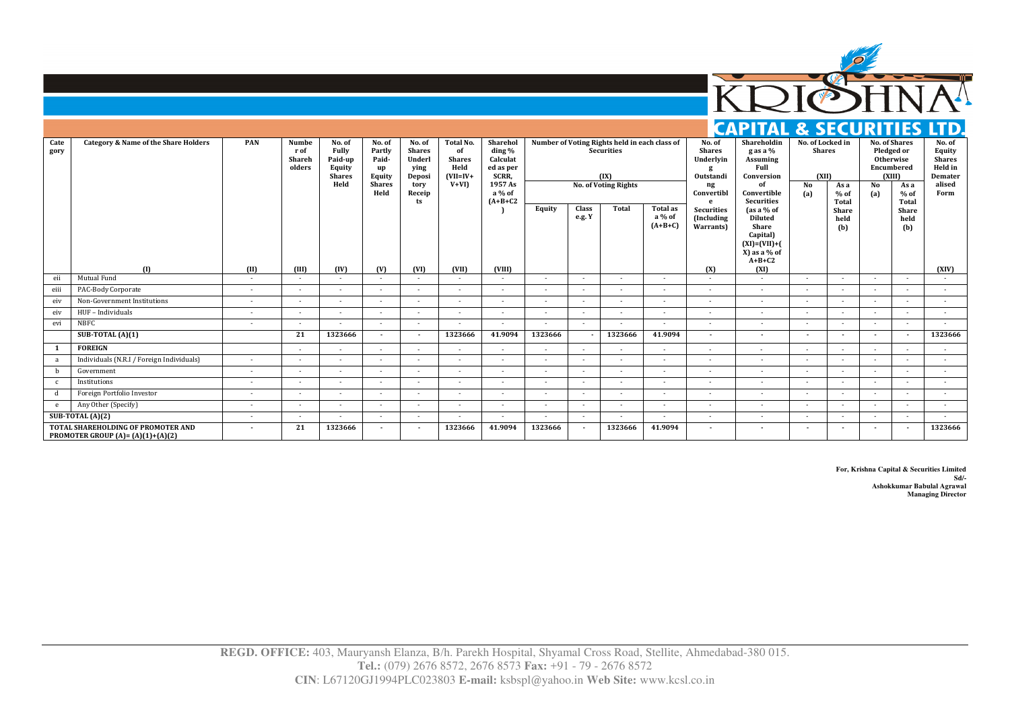

## **CAPITAL & SECURITIES LTD.**

| Cate<br>gory | <b>Category &amp; Name of the Share Holders</b>                                   | PAN    | <b>Numbe</b><br>r of<br>Shareh<br>olders | No. of<br><b>Fully</b><br>Paid-up<br><b>Equity</b><br><b>Shares</b><br>Held | No. of<br>Partly<br>Paid-<br>up<br>Equity<br><b>Shares</b><br>Held | No. of<br><b>Shares</b><br>Underl<br>ying<br>Deposi<br>tory<br>Receip<br>ts | <b>Total No.</b><br>of<br><b>Shares</b><br>Held<br>$(VII=IV+$<br>$V+VI$ | <b>Shareho</b><br>ding %<br>Calculat<br>ed as per<br>SCRR,<br>1957 As<br>a % of<br>$(A+B+C2$ |                |                 | Number of Voting Rights held in each class of<br><b>Securities</b><br>(IX)<br><b>No. of Voting Rights</b> |                                        | No. of<br><b>Shares</b><br>Underlyin<br>Outstandi<br>ng<br>Convertibl<br>e | Shareholdin<br>g as a %<br>Assuming<br>Full<br>Conversion<br>of<br>Convertible<br><b>Securities</b>    | No. of Locked in<br><b>Shares</b><br>(XII)<br>No<br>(a) | As a<br>$%$ of<br>Total | Encumbered<br>No<br>(a) | <b>No. of Shares</b><br>Pledged or<br>Otherwise<br>(XIII)<br>As a<br>$%$ of<br>Total | No. of<br>Equity<br><b>Shares</b><br>Held in<br>Demater<br>alised<br>Form |
|--------------|-----------------------------------------------------------------------------------|--------|------------------------------------------|-----------------------------------------------------------------------------|--------------------------------------------------------------------|-----------------------------------------------------------------------------|-------------------------------------------------------------------------|----------------------------------------------------------------------------------------------|----------------|-----------------|-----------------------------------------------------------------------------------------------------------|----------------------------------------|----------------------------------------------------------------------------|--------------------------------------------------------------------------------------------------------|---------------------------------------------------------|-------------------------|-------------------------|--------------------------------------------------------------------------------------|---------------------------------------------------------------------------|
|              |                                                                                   |        |                                          |                                                                             |                                                                    |                                                                             |                                                                         |                                                                                              | Equity         | Class<br>e.g. Y | <b>Total</b>                                                                                              | <b>Total as</b><br>a % of<br>$(A+B+C)$ | <b>Securities</b><br>(Including<br>Warrants)                               | (as a % of<br><b>Diluted</b><br>Share<br>Capital)<br>$(XI) = (VII) + ($<br>$X$ ) as a % of<br>$A+B+C2$ |                                                         | Share<br>held<br>(b)    |                         | Share<br>held<br>(b)                                                                 |                                                                           |
|              | (1)                                                                               | (II)   | (III)                                    | (IV)                                                                        | (V)                                                                | (VI)                                                                        | (VII)                                                                   | (VIII)                                                                                       |                |                 |                                                                                                           |                                        | (X)                                                                        | (XI)                                                                                                   |                                                         |                         |                         |                                                                                      | (XIV)                                                                     |
| eii          | Mutual Fund                                                                       |        |                                          | $\sim$                                                                      | $\sim$                                                             | $\sim$                                                                      | $\sim$                                                                  | $\sim$                                                                                       | $\sim$         | $\sim$          | $\overline{a}$                                                                                            | $\sim$                                 | $\sim$                                                                     | $\sim$                                                                                                 | $\sim$                                                  | ٠                       | $\sim$                  | $\sim$                                                                               | $\sim$                                                                    |
| eiii         | PAC-Body Corporate                                                                | $\sim$ | $\overline{a}$                           | $\sim$                                                                      | $\sim$                                                             | $\overline{a}$                                                              | $\overline{a}$                                                          | $\overline{a}$                                                                               | $\overline{a}$ | $\overline{a}$  |                                                                                                           | $\overline{a}$                         | $\overline{a}$                                                             | ٠                                                                                                      | $\sim$                                                  |                         |                         |                                                                                      |                                                                           |
| eiv          | Non-Government Institutions                                                       | $\sim$ | $\sim$                                   | $\sim$                                                                      | $\sim$                                                             | $\sim$                                                                      | $\overline{a}$                                                          | $\sim$                                                                                       | $\sim$         | $\overline{a}$  | $\sim$                                                                                                    | $\sim$                                 | $\sim$                                                                     | $\sim$                                                                                                 | $\sim$                                                  | $\sim$                  | $\sim$                  | $\sim$                                                                               | $\sim$                                                                    |
| eiv          | HUF - Individuals                                                                 | $\sim$ | $\overline{a}$                           | $\sim$                                                                      | $\sim$                                                             |                                                                             | $\sim$                                                                  | $\sim$                                                                                       | $\sim$         | $\sim$          |                                                                                                           | $\sim$                                 | $\sim$                                                                     | $\sim$                                                                                                 | $\sim$                                                  |                         |                         | ٠                                                                                    | $\sim$                                                                    |
| evi          | <b>NBFC</b>                                                                       | $\sim$ | $\sim$                                   | $\sim$                                                                      | $\sim$                                                             | $\sim$                                                                      | $\sim$                                                                  | $\sim$                                                                                       | $\sim$         | $\sim$          | $\sim$                                                                                                    | $\sim$                                 | $\sim$                                                                     | $\overline{a}$                                                                                         | $\sim$                                                  | $\sim$                  | $\sim$                  | $\sim$                                                                               | $\sim$                                                                    |
|              | SUB-TOTAL $(A)(1)$                                                                |        | 21                                       | 1323666                                                                     | $\overline{\phantom{a}}$                                           | $\overline{\phantom{a}}$                                                    | 1323666                                                                 | 41.9094                                                                                      | 1323666        |                 | 1323666                                                                                                   | 41.9094                                | $\overline{\phantom{a}}$                                                   | $\overline{\phantom{a}}$                                                                               | $\overline{\phantom{a}}$                                |                         | $\sim$                  | $\overline{\phantom{a}}$                                                             | 1323666                                                                   |
|              | <b>FOREIGN</b>                                                                    |        | $\overline{a}$                           |                                                                             | $\sim$                                                             | $\sim$                                                                      | $\overline{a}$                                                          | $\sim$                                                                                       | $\overline{a}$ | $\sim$          |                                                                                                           | $\overline{a}$                         | $\overline{a}$                                                             | $\overline{a}$                                                                                         |                                                         |                         |                         |                                                                                      |                                                                           |
| a            | Individuals (N.R.I / Foreign Individuals)                                         | $\sim$ | $\sim$                                   | $\sim$                                                                      | $\sim$                                                             | $\sim$                                                                      | $\sim$                                                                  | $\sim$                                                                                       | $\sim$         | $\overline{a}$  | $\sim$                                                                                                    | $\sim$                                 | $\sim$                                                                     | $\sim$                                                                                                 | $\sim$                                                  | $\sim$                  | $\sim$                  | $\sim$                                                                               | $\sim$                                                                    |
| b            | Government                                                                        |        | $\sim$                                   | $\sim$                                                                      | $\sim$                                                             | ٠                                                                           | $\sim$                                                                  | $\sim$                                                                                       | $\sim$         | $\overline{a}$  |                                                                                                           | $\sim$                                 | $\sim$                                                                     | $\sim$                                                                                                 | $\sim$                                                  | $\sim$                  |                         | ٠                                                                                    |                                                                           |
|              | Institutions                                                                      | $\sim$ | $\sim$                                   | $\sim$                                                                      | $\sim$                                                             | $\sim$                                                                      | $\sim$                                                                  | $\sim$                                                                                       | $\sim$         | $\sim$          | $\sim$                                                                                                    | $\sim$                                 | $\sim$                                                                     | $\sim$                                                                                                 | $\sim$                                                  | $\sim$                  | $\sim$                  | $\sim$                                                                               | $\sim$                                                                    |
| d            | Foreign Portfolio Investor                                                        |        | $\sim$                                   | $\sim$                                                                      | $\sim$                                                             | $\sim$                                                                      | $\sim$                                                                  | $\sim$                                                                                       | $\sim$         | $\sim$          |                                                                                                           | $\sim$                                 | $\sim$                                                                     | $\sim$                                                                                                 | $\sim$                                                  |                         |                         | ٠                                                                                    |                                                                           |
| e            | Any Other (Specify)                                                               | $\sim$ | $\sim$                                   | $\sim$                                                                      | $\sim$                                                             | $\sim$                                                                      | $\sim$                                                                  | $\sim$                                                                                       | $\sim$         | $\sim$          | $\sim$                                                                                                    | $\sim$                                 | $\sim$                                                                     | $\sim$                                                                                                 | $\sim$                                                  | $\sim$                  | $\sim$                  | $\sim$                                                                               | $\sim$                                                                    |
|              | SUB-TOTAL $(A)(2)$                                                                | $\sim$ | $\overline{a}$                           |                                                                             | $\sim$                                                             | $\overline{a}$                                                              | $\overline{a}$                                                          | $\overline{a}$                                                                               | $\overline{a}$ | $\overline{a}$  |                                                                                                           |                                        | $\sim$                                                                     | ٠                                                                                                      | $\sim$                                                  |                         |                         | $\sim$                                                                               |                                                                           |
|              | TOTAL SHAREHOLDING OF PROMOTER AND<br><b>PROMOTER GROUP</b> (A) = $(A)(1)+(A)(2)$ |        | 21                                       | 1323666                                                                     |                                                                    |                                                                             | 1323666                                                                 | 41.9094                                                                                      | 1323666        |                 | 1323666                                                                                                   | 41.9094                                | $\overline{\phantom{a}}$                                                   | $\overline{\phantom{a}}$                                                                               | $\overline{\phantom{a}}$                                |                         |                         |                                                                                      | 1323666                                                                   |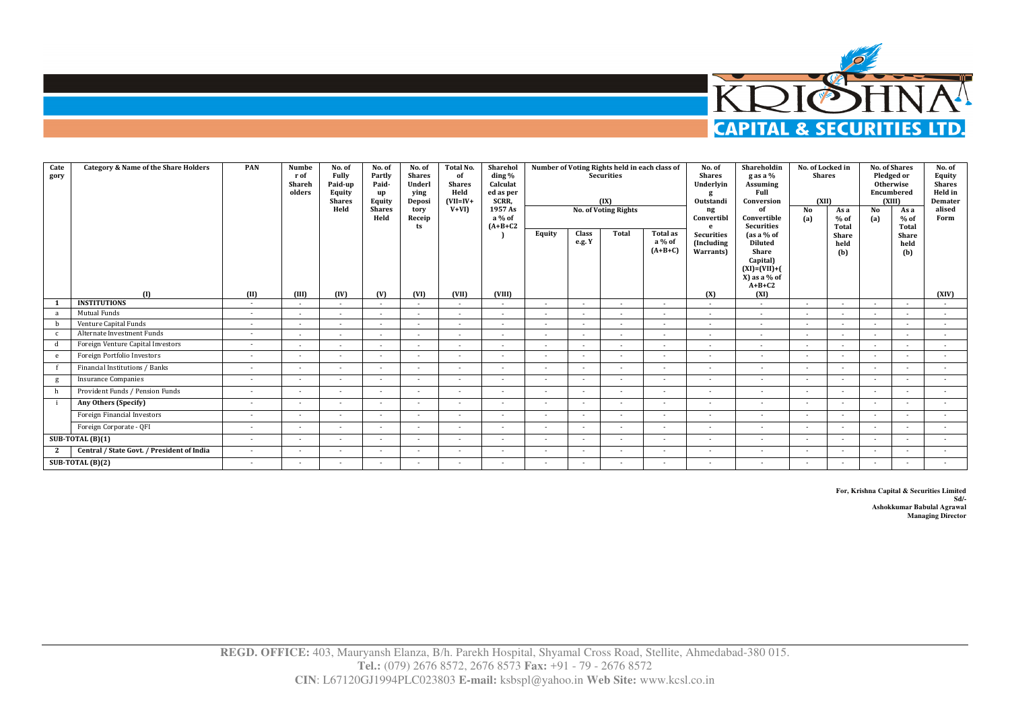

| Cate<br>gory | <b>Category &amp; Name of the Share Holders</b> | PAN            | Numbe<br>r of<br>Shareh<br>olders | No. of<br>Fully<br>Paid-up<br><b>Equity</b><br><b>Shares</b><br>Held | No. of<br>Partly<br>Paid-<br>up<br><b>Equity</b><br><b>Shares</b><br>Held | No. of<br><b>Shares</b><br>Underl<br>ying<br>Deposi<br>tory<br>Receip<br>ts | <b>Total No.</b><br>of<br><b>Shares</b><br>Held<br>$(VII=IV+$<br>$V+VI$ | Sharehol<br>ding %<br>Calculat<br>ed as per<br>SCRR,<br>1957 As<br>a % of<br>$(A+B+C2$ | Equity | <b>Class</b><br>e.g. Y | Number of Voting Rights held in each class of<br><b>Securities</b><br>(IX)<br><b>No. of Voting Rights</b><br>Total | Total as<br>a % of<br>$(A+B+C)$ | No. of<br><b>Shares</b><br>Underlyin<br>Outstandi<br>ng<br>Convertibl<br>$\mathbf{e}$<br><b>Securities</b><br>(Including<br>Warrants) | Shareholdin<br>g as a %<br>Assuming<br>Full<br>Conversion<br>оf<br>Convertible<br><b>Securities</b><br>$[as a \% of$<br><b>Diluted</b><br>Share<br>Capital)<br>$(XI) = (VII) + ($<br>$X$ ) as a % of<br>$A+B+C2$ | No. of Locked in<br><b>Shares</b><br>(XII)<br>No<br>(a) | As a<br>$%$ of<br>Total<br>Share<br>held<br>(b) | No<br>(a)                | <b>No. of Shares</b><br>Pledged or<br><b>Otherwise</b><br>Encumbered<br>(XIII)<br>As a<br>$%$ of<br>Total<br>Share<br>held<br>(b) | No. of<br>Equity<br><b>Shares</b><br>Held in<br>Demater<br>alised<br>Form |
|--------------|-------------------------------------------------|----------------|-----------------------------------|----------------------------------------------------------------------|---------------------------------------------------------------------------|-----------------------------------------------------------------------------|-------------------------------------------------------------------------|----------------------------------------------------------------------------------------|--------|------------------------|--------------------------------------------------------------------------------------------------------------------|---------------------------------|---------------------------------------------------------------------------------------------------------------------------------------|------------------------------------------------------------------------------------------------------------------------------------------------------------------------------------------------------------------|---------------------------------------------------------|-------------------------------------------------|--------------------------|-----------------------------------------------------------------------------------------------------------------------------------|---------------------------------------------------------------------------|
|              | (1)<br><b>INSTITUTIONS</b>                      | (II)<br>$\sim$ | (III)<br>$\sim$                   | (IV)<br>$\sim$                                                       | (V)<br>$\sim$                                                             | (VI)<br>$\sim$                                                              | (VII)                                                                   | (VIII)<br>$\sim$                                                                       | $\sim$ | $\sim$<br>$\sim$       |                                                                                                                    | (X)<br>$\sim$                   | (XI)<br>$\sim$                                                                                                                        | $\overline{a}$                                                                                                                                                                                                   | $\sim$                                                  | $\overline{a}$                                  | $\sim$                   | (XIV)<br>$\sim$                                                                                                                   |                                                                           |
| a            | <b>Mutual Funds</b>                             | ٠              | $\sim$                            | $\sim$                                                               | $\sim$                                                                    | $\overline{\phantom{a}}$                                                    | $\sim$                                                                  | $\sim$                                                                                 | $\sim$ |                        | ٠                                                                                                                  | $\sim$                          | $\overline{\phantom{a}}$                                                                                                              | $\sim$                                                                                                                                                                                                           | $\sim$                                                  |                                                 |                          | $\sim$                                                                                                                            | ٠                                                                         |
|              | Venture Capital Funds                           | $\sim$         | $\sim$                            | ٠                                                                    | $\sim$                                                                    | $\overline{\phantom{a}}$                                                    | $\overline{a}$                                                          | $\sim$                                                                                 |        |                        |                                                                                                                    | ٠                               | $\sim$                                                                                                                                | $\sim$                                                                                                                                                                                                           | $\overline{a}$                                          |                                                 |                          | $\sim$                                                                                                                            |                                                                           |
| $\mathbf{C}$ | Alternate Investment Funds                      | ٠              | $\sim$                            | $\sim$                                                               | $\sim$                                                                    | $\overline{\phantom{a}}$                                                    | $\sim$                                                                  | $\sim$                                                                                 | $\sim$ |                        | ٠                                                                                                                  | $\overline{\phantom{a}}$        | $\overline{\phantom{a}}$                                                                                                              | $\sim$                                                                                                                                                                                                           | $\sim$                                                  | ٠                                               | $\overline{\phantom{a}}$ | $\sim$                                                                                                                            | $\sim$                                                                    |
|              | Foreign Venture Capital Investors               | $\sim$         | $\sim$                            | $\sim$                                                               | $\sim$                                                                    | $\sim$                                                                      | $\sim$                                                                  | $\sim$                                                                                 | $\sim$ | $\sim$                 | $\sim$                                                                                                             | $\sim$                          | $\sim$                                                                                                                                | $\sim$                                                                                                                                                                                                           | $\sim$                                                  | $\sim$                                          | $\overline{\phantom{a}}$ | $\sim$                                                                                                                            | $\sim$                                                                    |
| e            | Foreign Portfolio Investors                     | $\sim$         | $\sim$                            | $\sim$                                                               | $\sim$                                                                    | $\sim$                                                                      | $\sim$                                                                  | $\sim$                                                                                 | $\sim$ | $\sim$                 | $\sim$                                                                                                             | $\sim$                          | $\sim$                                                                                                                                | $\sim$                                                                                                                                                                                                           | $\sim$                                                  | $\sim$                                          | $\sim$                   | $\sim$                                                                                                                            | $\sim$                                                                    |
|              | Financial Institutions / Banks                  | ۰.             | $\sim$                            | ٠                                                                    | ٠                                                                         | $\sim$                                                                      | $\sim$                                                                  | $\sim$                                                                                 | $\sim$ | $\sim$                 | $\sim$                                                                                                             | ٠                               | ٠                                                                                                                                     | $\sim$                                                                                                                                                                                                           | $\sim$                                                  | $\sim$                                          | $\overline{\phantom{a}}$ | ٠                                                                                                                                 |                                                                           |
|              | <b>Insurance Companies</b>                      | ٠              | $\sim$                            | $\sim$                                                               | $\overline{a}$                                                            | $\overline{\phantom{a}}$                                                    | $\overline{a}$                                                          | $\sim$                                                                                 | $\sim$ |                        | $\overline{a}$                                                                                                     | ٠                               | ٠                                                                                                                                     | $\sim$                                                                                                                                                                                                           | $\sim$                                                  | $\sim$                                          | $\overline{\phantom{a}}$ | $\sim$                                                                                                                            | $\sim$                                                                    |
|              | Provident Funds / Pension Funds                 | ٠              | ۰.                                | ٠                                                                    |                                                                           |                                                                             |                                                                         |                                                                                        |        |                        | ٠                                                                                                                  | ٠                               | ٠                                                                                                                                     |                                                                                                                                                                                                                  | $\sim$                                                  |                                                 |                          | ٠                                                                                                                                 | $\sim$                                                                    |
|              | Any Others (Specify)                            | ٠              | $\sim$                            | $\sim$                                                               | $\overline{\phantom{a}}$                                                  | $\overline{\phantom{a}}$                                                    | $\overline{a}$                                                          | $\sim$                                                                                 |        |                        | $\overline{\phantom{a}}$                                                                                           | $\overline{a}$                  | $\sim$                                                                                                                                | $\sim$                                                                                                                                                                                                           | $\sim$                                                  |                                                 |                          | $\sim$                                                                                                                            | $\sim$                                                                    |
|              | Foreign Financial Investors                     | $\sim$         | $\sim$                            | $\sim$                                                               | $\overline{a}$                                                            | $\overline{\phantom{a}}$                                                    | $\overline{a}$                                                          | $\sim$                                                                                 | $\sim$ |                        | $\overline{\phantom{a}}$                                                                                           | $\overline{a}$                  | ٠                                                                                                                                     | $\sim$                                                                                                                                                                                                           | $\overline{a}$                                          |                                                 |                          | $\sim$                                                                                                                            |                                                                           |
|              | Foreign Corporate - OFI                         | $\sim$         | $\sim$                            | $\sim$                                                               | ٠                                                                         | $\sim$                                                                      | $\sim$                                                                  | $\sim$                                                                                 | $\sim$ | $\sim$                 | $\sim$                                                                                                             | $\sim$                          | $\sim$                                                                                                                                | $\sim$                                                                                                                                                                                                           | $\sim$                                                  | $\overline{a}$                                  | $\overline{a}$           | $\sim$                                                                                                                            |                                                                           |
|              | SUB-TOTAL $(B)(1)$                              | $\sim$         | $\sim$                            | $\overline{\phantom{a}}$                                             | $\sim$                                                                    | $\sim$                                                                      | $\sim$                                                                  | $\sim$                                                                                 | $\sim$ | $\sim$                 | $\sim$                                                                                                             | $\sim$                          | $\sim$                                                                                                                                | $\sim$                                                                                                                                                                                                           | $\sim$                                                  | $\overline{a}$                                  | $\overline{a}$           | $\sim$                                                                                                                            |                                                                           |
| 2            | Central / State Govt. / President of India      | $\sim$         | $\sim$                            | ٠                                                                    | $\overline{a}$                                                            | $\overline{\phantom{a}}$                                                    |                                                                         | $\sim$                                                                                 |        |                        | $\overline{\phantom{a}}$                                                                                           | ٠                               | ٠                                                                                                                                     | $\sim$                                                                                                                                                                                                           |                                                         |                                                 |                          | ٠                                                                                                                                 |                                                                           |
|              | SUB-TOTAL (B)(2)                                | ٠              | $\sim$                            | ٠                                                                    | $\overline{\phantom{a}}$                                                  | $\overline{\phantom{a}}$                                                    |                                                                         |                                                                                        |        |                        |                                                                                                                    | ٠                               | ٠                                                                                                                                     |                                                                                                                                                                                                                  | $\overline{\phantom{a}}$                                |                                                 |                          | $\sim$                                                                                                                            |                                                                           |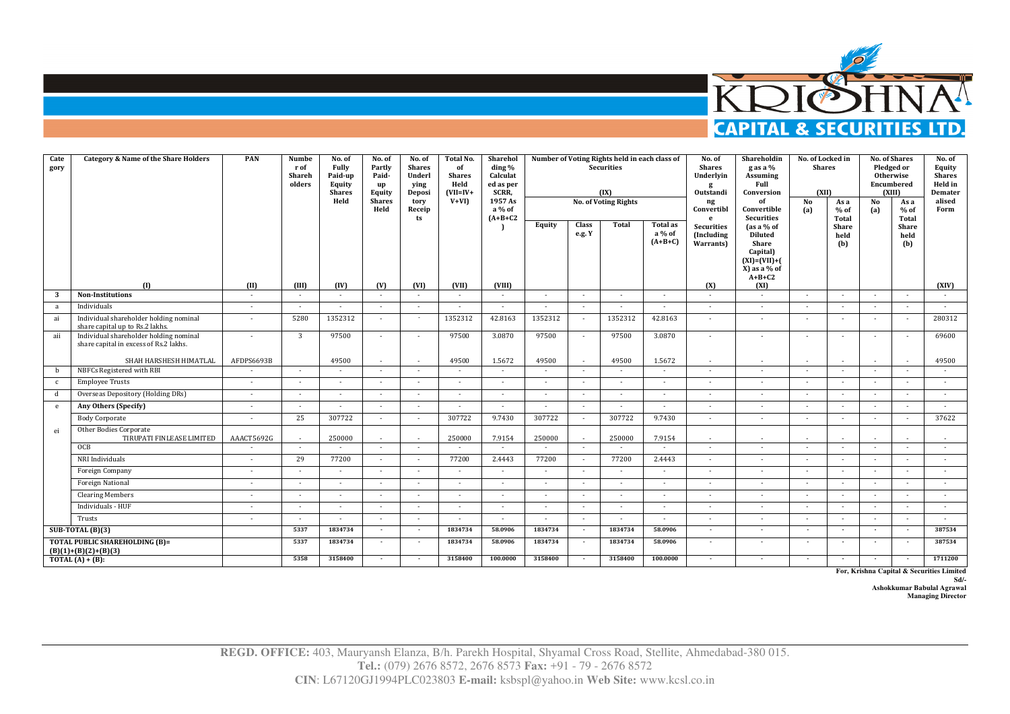

| Cate<br>gory | <b>Category &amp; Name of the Share Holders</b>                                  | PAN                      | <b>Numbe</b><br>r of<br>Shareh<br>olders | No. of<br>Fully<br>Paid-up<br>Equity<br><b>Shares</b><br>Held | No. of<br>Partly<br>Paid-<br>up<br>Equity<br><b>Shares</b><br>Held | No. of<br><b>Shares</b><br>Underl<br>ying<br>Deposi<br>tory<br>Receip<br>ts | <b>Total No.</b><br>of<br><b>Shares</b><br>Held<br>$(VII=IV+$<br>$V+VII$ | Sharehol<br>ding %<br>Calculat<br>ed as per<br>SCRR,<br>1957 As<br>a % of<br>$(A+B+C2$ | Equity                   | Class<br>e.g. Y          | Number of Voting Rights held in each class of<br><b>Securities</b><br>(IX)<br><b>No. of Voting Rights</b><br><b>Total</b> | <b>Total as</b><br>a % of<br>$(A+B+C)$ | No. of<br><b>Shares</b><br>Underlyin<br>g<br>Outstandi<br>ng<br>Convertibl<br>e<br>Securities<br>(Including<br>Warrants) | Shareholdin<br>g as a %<br>Assuming<br>Full<br>Conversion<br>of<br>Convertible<br>Securities<br>$\int$ as a % of<br><b>Diluted</b><br>Share | No. of Locked in<br><b>Shares</b><br>(XII)<br>No<br>(a) | As a<br>$%$ of<br>Total<br><b>Share</b><br>held<br>(b) | No<br>(a)                | <b>No. of Shares</b><br>Pledged or<br>Otherwise<br>Encumbered<br>(XIII)<br>As a<br>$%$ of<br>Total<br><b>Share</b><br>held<br>(b) | No. of<br>Equity<br><b>Shares</b><br>Held in<br>Demater<br>alised<br>Form |
|--------------|----------------------------------------------------------------------------------|--------------------------|------------------------------------------|---------------------------------------------------------------|--------------------------------------------------------------------|-----------------------------------------------------------------------------|--------------------------------------------------------------------------|----------------------------------------------------------------------------------------|--------------------------|--------------------------|---------------------------------------------------------------------------------------------------------------------------|----------------------------------------|--------------------------------------------------------------------------------------------------------------------------|---------------------------------------------------------------------------------------------------------------------------------------------|---------------------------------------------------------|--------------------------------------------------------|--------------------------|-----------------------------------------------------------------------------------------------------------------------------------|---------------------------------------------------------------------------|
|              | (1)                                                                              | (II)                     | (III)                                    | (IV)                                                          | (V)                                                                | (VI)                                                                        | (VII)                                                                    | (VIII)                                                                                 |                          |                          |                                                                                                                           |                                        | (X)                                                                                                                      | Capital)<br>$(XI) = (VII) + ($<br>X) as a % of<br>$A+B+C2$<br>(XI)                                                                          |                                                         |                                                        |                          |                                                                                                                                   | (XIV)                                                                     |
| 3            | <b>Non-Institutions</b>                                                          | $\sim$                   | ×                                        | $\sim$                                                        | $\sim$                                                             | $\sim$                                                                      | $\sim$                                                                   | $\sim$                                                                                 | $\sim$                   | $\sim$                   | $\sim$                                                                                                                    | $\sim$                                 | $\sim$                                                                                                                   | $\sim$                                                                                                                                      | $\sim$                                                  | $\sim$                                                 | $\sim$                   | $\sim$                                                                                                                            | $\sim$                                                                    |
| a            | Individuals                                                                      | $\sim$                   | $\sim$                                   | $\sim$                                                        | $\sim$                                                             | $\sim$                                                                      | ÷                                                                        | ÷                                                                                      | $\sim$                   | $\sim$                   | $\sim$                                                                                                                    | $\sim$                                 | $\sim$                                                                                                                   | $\sim$                                                                                                                                      | $\sim$                                                  | $\sim$                                                 | $\sim$                   | $\sim$                                                                                                                            | $\sim$                                                                    |
| ai           | Individual shareholder holding nominal<br>share capital up to Rs.2 lakhs.        | $\sim$                   | 5280                                     | 1352312                                                       | $\sim$                                                             | $\sim$                                                                      | 1352312                                                                  | 42.8163                                                                                | 1352312                  | $\sim$                   | 1352312                                                                                                                   | 42.8163                                | $\sim$                                                                                                                   | $\sim$                                                                                                                                      | $\sim$                                                  | $\sim$                                                 | $\sim$                   | $\sim$                                                                                                                            | 280312                                                                    |
| aii          | Individual shareholder holding nominal<br>share capital in excess of Rs.2 lakhs. |                          | $\overline{3}$                           | 97500                                                         |                                                                    |                                                                             | 97500                                                                    | 3.0870                                                                                 | 97500                    | $\sim$                   | 97500                                                                                                                     | 3.0870                                 |                                                                                                                          | $\sim$                                                                                                                                      |                                                         |                                                        |                          | $\sim$                                                                                                                            | 69600                                                                     |
|              | SHAH HARSHESH HIMATLAL                                                           | AFDPS6693B               |                                          | 49500                                                         | $\sim$                                                             | $\sim$                                                                      | 49500                                                                    | 1.5672                                                                                 | 49500                    | $\sim$                   | 49500                                                                                                                     | 1.5672                                 | $\sim$                                                                                                                   | $\sim$                                                                                                                                      | $\sim$                                                  | $\sim$                                                 | $\overline{a}$           | $\sim$                                                                                                                            | 49500                                                                     |
| b            | NBFCs Registered with RBI                                                        |                          | $\sim$                                   | $\sim$                                                        |                                                                    | $\sim$                                                                      | $\sim$                                                                   | ٠                                                                                      |                          | $\sim$                   |                                                                                                                           |                                        |                                                                                                                          | $\sim$                                                                                                                                      | $\sim$                                                  | $\sim$                                                 | $\sim$                   | $\sim$                                                                                                                            | $\sim$                                                                    |
| $\mathbf{c}$ | <b>Employee Trusts</b>                                                           | $\sim$                   | $\sim$                                   | $\sim$                                                        | $\sim$                                                             | $\sim$                                                                      | $\sim$                                                                   | $\sim$                                                                                 | $\overline{a}$           | $\sim$                   |                                                                                                                           | $\sim$                                 |                                                                                                                          | $\sim$                                                                                                                                      | $\sim$                                                  |                                                        | $\sim$                   | $\sim$                                                                                                                            | $\sim$                                                                    |
| d            | Overseas Depository (Holding DRs)                                                | $\sim$                   | $\sim$                                   | $\sim$                                                        | $\sim$                                                             | $\sim$                                                                      | $\sim$                                                                   | ٠                                                                                      | $\sim$                   |                          |                                                                                                                           |                                        |                                                                                                                          | $\sim$                                                                                                                                      | ٠                                                       |                                                        | $\sim$                   | $\sim$                                                                                                                            | $\mathbf{r}$                                                              |
| e            | Any Others (Specify)                                                             | $\sim$                   | $\sim$                                   | $\sim$                                                        | $\sim$                                                             | $\sim$                                                                      | $\sim$                                                                   | ٠                                                                                      | $\sim$                   | $\sim$                   | $\sim$                                                                                                                    | $\sim$                                 | $\sim$                                                                                                                   | $\sim$                                                                                                                                      | $\sim$                                                  | $\sim$                                                 | $\sim$                   | $\sim$                                                                                                                            | $\sim$                                                                    |
|              | <b>Body Corporate</b>                                                            | $\sim$                   | 25                                       | 307722                                                        | $\sim$                                                             | $\sim$                                                                      | 307722                                                                   | 9.7430                                                                                 | 307722                   | $\sim$                   | 307722                                                                                                                    | 9.7430                                 | $\sim$                                                                                                                   | $\sim$                                                                                                                                      | $\sim$                                                  | $\sim$                                                 | $\sim$                   | $\sim$                                                                                                                            | 37622                                                                     |
| ei           | Other Bodies Corporate<br>TIRUPATI FINLEASE LIMITED                              | AAACT5692G               | ٠                                        | 250000                                                        | $\sim$                                                             | $\sim$                                                                      | 250000                                                                   | 7.9154                                                                                 | 250000                   | $\overline{\phantom{a}}$ | 250000                                                                                                                    | 7.9154                                 | $\sim$                                                                                                                   | $\sim$                                                                                                                                      | $\sim$                                                  |                                                        | ٠                        | $\sim$                                                                                                                            | $\sim$                                                                    |
|              | OCB                                                                              |                          | ×                                        |                                                               |                                                                    | $\sim$                                                                      |                                                                          |                                                                                        |                          | $\sim$                   |                                                                                                                           |                                        |                                                                                                                          | $\sim$                                                                                                                                      | $\sim$                                                  | $\sim$                                                 | $\overline{\phantom{a}}$ | $\sim$                                                                                                                            | $\sim$                                                                    |
|              | NRI Individuals                                                                  | $\overline{\phantom{a}}$ | 29                                       | 77200                                                         | $\sim$                                                             | $\sim$                                                                      | 77200                                                                    | 2.4443                                                                                 | 77200                    | $\sim$                   | 77200                                                                                                                     | 2.4443                                 | $\sim$                                                                                                                   | $\overline{\phantom{a}}$                                                                                                                    | $\sim$                                                  | $\sim$                                                 | $\overline{\phantom{a}}$ | $\sim$                                                                                                                            | $\sim$                                                                    |
|              | Foreign Company                                                                  | $\sim$                   | ×                                        | $\sim$                                                        | $\sim$                                                             | $\sim$                                                                      | $\sim$                                                                   | ٠                                                                                      | $\sim$                   | $\sim$                   |                                                                                                                           | $\sim$                                 | $\overline{\phantom{a}}$                                                                                                 | $\sim$                                                                                                                                      | $\sim$                                                  |                                                        | $\sim$                   | $\sim$                                                                                                                            | ÷                                                                         |
|              | <b>Foreign National</b>                                                          | $\sim$                   | ×.                                       | $\sim$                                                        | $\sim$                                                             | $\sim$                                                                      | ÷.                                                                       | $\sim$                                                                                 | $\sim$                   | $\overline{a}$           |                                                                                                                           | $\sim$                                 |                                                                                                                          | $\sim$                                                                                                                                      | $\sim$                                                  |                                                        |                          | $\sim$                                                                                                                            | ÷                                                                         |
|              | <b>Clearing Members</b>                                                          | $\sim$                   | $\sim$                                   | $\sim$                                                        | $\sim$                                                             | $\sim$                                                                      | $\sim$                                                                   | $\sim$                                                                                 | $\overline{\phantom{a}}$ | $\sim$                   |                                                                                                                           | $\sim$                                 | $\sim$                                                                                                                   | $\sim$                                                                                                                                      | $\sim$                                                  | $\sim$                                                 | $\sim$                   | $\sim$                                                                                                                            | $\sim$                                                                    |
|              | Individuals - HUF                                                                | $\sim$                   | ×                                        | $\sim$                                                        | $\sim$                                                             | $\sim$                                                                      | $\sim$                                                                   | ٠                                                                                      | $\sim$                   | $\sim$                   | $\sim$                                                                                                                    | $\sim$                                 | $\sim$                                                                                                                   | $\sim$                                                                                                                                      | $\sim$                                                  | $\sim$                                                 | $\sim$                   | $\sim$                                                                                                                            | $\sim$                                                                    |
|              | Trusts                                                                           |                          | $\sim$                                   | $\sim$                                                        | $\sim$                                                             | $\sim$                                                                      | $\sim$                                                                   | $\sim$                                                                                 | $\sim$                   | $\sim$                   | $\sim$                                                                                                                    | $\sim$                                 | $\sim$                                                                                                                   | $\sim$                                                                                                                                      | $\sim$                                                  |                                                        | $\sim$                   | $\sim$                                                                                                                            | $\sim$                                                                    |
|              | $SUB-TOTAL(B)(3)$                                                                |                          | 5337                                     | 1834734                                                       | $\overline{\phantom{a}}$                                           | $\sim$                                                                      | 1834734                                                                  | 58.0906                                                                                | 1834734                  |                          | 1834734                                                                                                                   | 58.0906                                | $\overline{\phantom{a}}$                                                                                                 | $\sim$                                                                                                                                      | $\overline{\phantom{a}}$                                |                                                        | $\overline{\phantom{a}}$ | $\overline{\phantom{a}}$                                                                                                          | 387534                                                                    |
|              | <b>TOTAL PUBLIC SHAREHOLDING (B)=</b><br>$(B)(1)+(B)(2)+(B)(3)$                  |                          | 5337                                     | 1834734                                                       | $\sim$                                                             | $\sim$                                                                      | 1834734                                                                  | 58.0906                                                                                | 1834734                  | $\sim$                   | 1834734                                                                                                                   | 58.0906                                | $\sim$                                                                                                                   | $\sim$                                                                                                                                      | $\overline{\phantom{a}}$                                | $\sim$                                                 | $\sim$                   | $\sim$                                                                                                                            | 387534                                                                    |
|              | TOTAL $(A) + (B)$ :                                                              |                          | 5358                                     | 3158400                                                       |                                                                    |                                                                             | 3158400                                                                  | 100.0000                                                                               | 3158400                  | $\overline{\phantom{a}}$ | 3158400                                                                                                                   | 100.0000                               |                                                                                                                          | $\overline{\phantom{a}}$                                                                                                                    | $\overline{\phantom{a}}$                                |                                                        | $\sim$                   |                                                                                                                                   | 1711200                                                                   |

**For, Krishna Capital & Securities Limited** 

**Sd/-** 

**Ashokkumar Babulal Agrawal Managing Director**